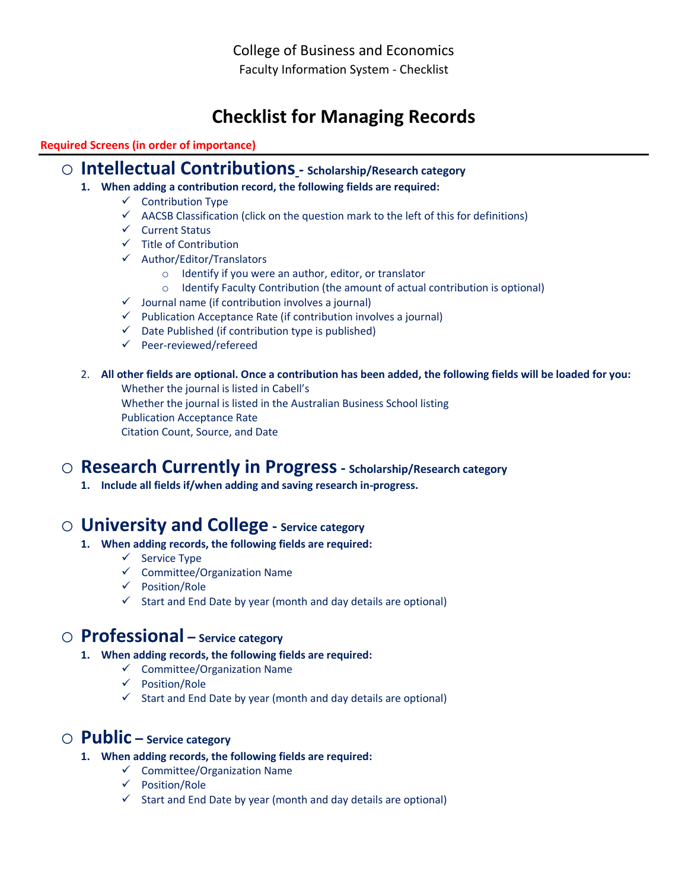College of Business and Economics Faculty Information System - Checklist

# **Checklist for Managing Records**

### **Required Screens (in order of importance)**

### o **Intellectual Contributions- Scholarship/Research category**

- **1. When adding a contribution record, the following fields are required:**
	- $\checkmark$  Contribution Type
	- $\checkmark$  AACSB Classification (click on the question mark to the left of this for definitions)
	- $\checkmark$  Current Status
	- $\checkmark$  Title of Contribution
	- Author/Editor/Translators
		- o Identify if you were an author, editor, or translator
		- o Identify Faculty Contribution (the amount of actual contribution is optional)
	- $\checkmark$  Journal name (if contribution involves a journal)
	- $\checkmark$  Publication Acceptance Rate (if contribution involves a journal)
	- $\checkmark$  Date Published (if contribution type is published)
	- $\checkmark$  Peer-reviewed/refereed
- 2. **All other fields are optional. Once a contribution has been added, the following fields will be loaded for you:** Whether the journal is listed in Cabell's Whether the journal is listed in the Australian Business School listing Publication Acceptance Rate Citation Count, Source, and Date

## o **Research Currently in Progress- Scholarship/Research category**

**1. Include all fields if/when adding and saving research in-progress.** 

## o **University and College - Service category**

- **1. When adding records, the following fields are required:**
	- $\checkmark$  Service Type
	- $\checkmark$  Committee/Organization Name
	- $\checkmark$  Position/Role
	- $\checkmark$  Start and End Date by year (month and day details are optional)

## o **Professional – Service category**

- **1. When adding records, the following fields are required:**
	- $\checkmark$  Committee/Organization Name
	- Position/Role
	- $\checkmark$  Start and End Date by year (month and day details are optional)

## o **Public – Service category**

- **1. When adding records, the following fields are required:**
	- $\checkmark$  Committee/Organization Name
	- $\checkmark$  Position/Role
	- $\checkmark$  Start and End Date by year (month and day details are optional)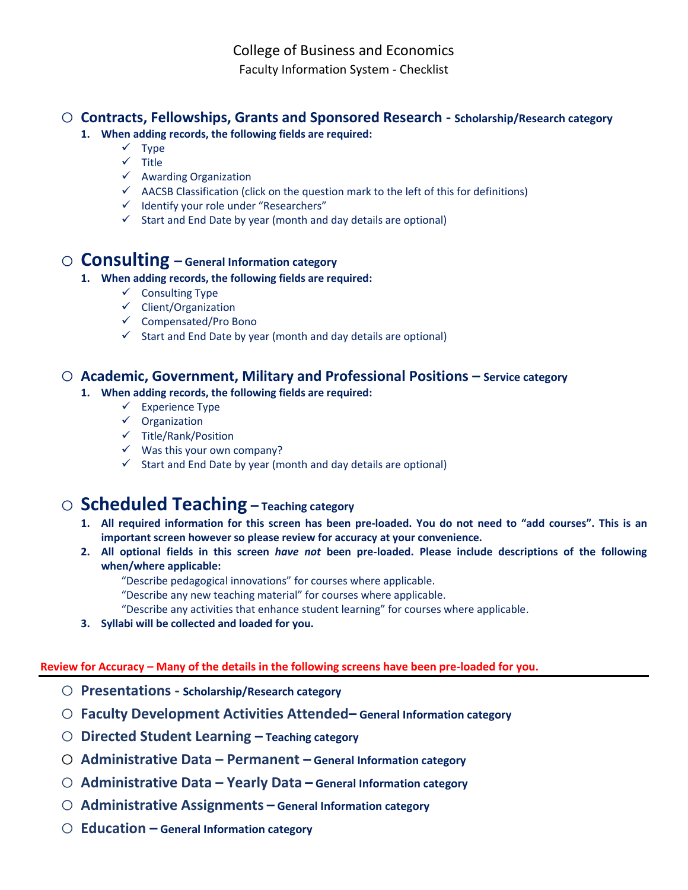College of Business and Economics Faculty Information System - Checklist

### o **Contracts, Fellowships, Grants and Sponsored Research - Scholarship/Research category**

- **1. When adding records, the following fields are required:**
	- $\checkmark$  Type
	- $\checkmark$  Title
	- $\checkmark$  Awarding Organization
	- $\checkmark$  AACSB Classification (click on the question mark to the left of this for definitions)
	- $\checkmark$  Identify your role under "Researchers"
	- $\checkmark$  Start and End Date by year (month and day details are optional)

### o **Consulting – General Information category**

#### **1. When adding records, the following fields are required:**

- $\checkmark$  Consulting Type
- $\checkmark$  Client/Organization
- $\checkmark$  Compensated/Pro Bono
- $\checkmark$  Start and End Date by year (month and day details are optional)

### o **Academic, Government, Military and Professional Positions – Service category**

### **1. When adding records, the following fields are required:**

- $\checkmark$  Experience Type
- $\checkmark$  Organization
- $\checkmark$  Title/Rank/Position
- $\checkmark$  Was this your own company?
- $\checkmark$  Start and End Date by year (month and day details are optional)

## o **Scheduled Teaching – Teaching category**

- **1. All required information for this screen has been pre-loaded. You do not need to "add courses". This is an important screen however so please review for accuracy at your convenience.**
- **2. All optional fields in this screen** *have not* **been pre-loaded. Please include descriptions of the following when/where applicable:**
	- "Describe pedagogical innovations" for courses where applicable.
	- "Describe any new teaching material" for courses where applicable.
	- "Describe any activities that enhance student learning" for courses where applicable.
- **3. Syllabi will be collected and loaded for you.**

#### **Review for Accuracy – Many of the details in the following screens have been pre-loaded for you.**

- o **Presentations - Scholarship/Research category**
- o **Faculty Development Activities Attended– General Information category**
- o **Directed Student Learning – Teaching category**
- o **Administrative Data – Permanent – General Information category**
- o **Administrative Data – Yearly Data – General Information category**
- o **Administrative Assignments – General Information category**
- o **Education – General Information category**